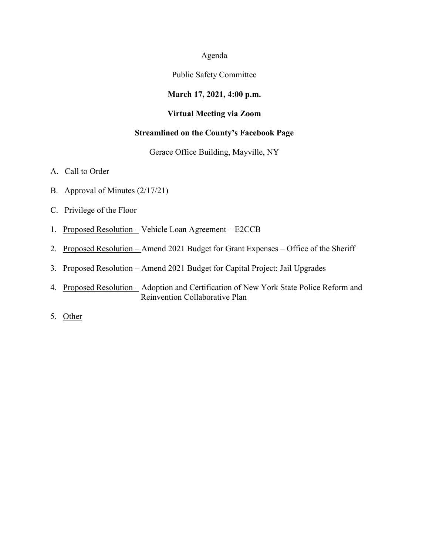#### Agenda

### Public Safety Committee

# **March 17, 2021, 4:00 p.m.**

### **Virtual Meeting via Zoom**

# **Streamlined on the County's Facebook Page**

#### Gerace Office Building, Mayville, NY

- A. Call to Order
- B. Approval of Minutes (2/17/21)
- C. Privilege of the Floor
- 1. Proposed Resolution Vehicle Loan Agreement E2CCB
- 2. Proposed Resolution Amend 2021 Budget for Grant Expenses Office of the Sheriff
- 3. Proposed Resolution Amend 2021 Budget for Capital Project: Jail Upgrades
- 4. Proposed Resolution Adoption and Certification of New York State Police Reform and Reinvention Collaborative Plan
- 5. Other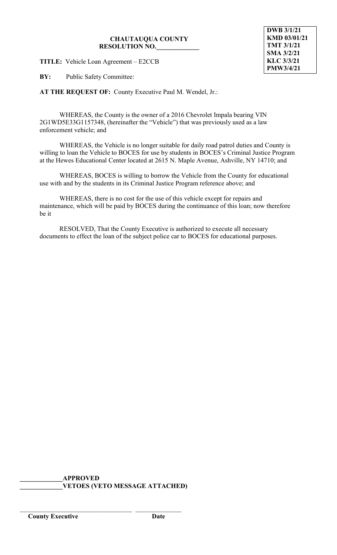**TITLE:** Vehicle Loan Agreement – E2CCB

**BY:** Public Safety Committee:

**AT THE REQUEST OF:** County Executive Paul M. Wendel, Jr.:

WHEREAS, the County is the owner of a 2016 Chevrolet Impala bearing VIN 2G1WD5E33G1157348, (hereinafter the "Vehicle") that was previously used as a law enforcement vehicle; and

WHEREAS, the Vehicle is no longer suitable for daily road patrol duties and County is willing to loan the Vehicle to BOCES for use by students in BOCES's Criminal Justice Program at the Hewes Educational Center located at 2615 N. Maple Avenue, Ashville, NY 14710; and

WHEREAS, BOCES is willing to borrow the Vehicle from the County for educational use with and by the students in its Criminal Justice Program reference above; and

WHEREAS, there is no cost for the use of this vehicle except for repairs and maintenance, which will be paid by BOCES during the continuance of this loan; now therefore be it

RESOLVED, That the County Executive is authorized to execute all necessary documents to effect the loan of the subject police car to BOCES for educational purposes.

**\_\_\_\_\_\_\_\_\_\_\_\_\_APPROVED \_\_\_\_\_\_\_\_\_\_\_\_\_VETOES (VETO MESSAGE ATTACHED)**

\_\_\_\_\_\_\_\_\_\_\_\_\_\_\_\_\_\_\_\_\_\_\_\_\_\_\_\_\_\_\_\_\_\_ \_\_\_\_\_\_\_\_\_\_\_\_\_\_

**DWB 3/1/21 KMD 03/01/21 TMT 3/1/21 SMA 3/2/21 KLC 3/3/21 PMW3/4/21**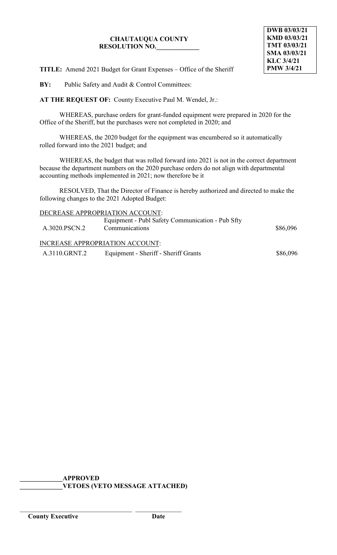**TITLE:** Amend 2021 Budget for Grant Expenses – Office of the Sheriff

**BY:** Public Safety and Audit & Control Committees:

**AT THE REQUEST OF:** County Executive Paul M. Wendel, Jr.:

WHEREAS, purchase orders for grant-funded equipment were prepared in 2020 for the Office of the Sheriff, but the purchases were not completed in 2020; and

WHEREAS, the 2020 budget for the equipment was encumbered so it automatically rolled forward into the 2021 budget; and

WHEREAS, the budget that was rolled forward into 2021 is not in the correct department because the department numbers on the 2020 purchase orders do not align with departmental accounting methods implemented in 2021; now therefore be it

RESOLVED, That the Director of Finance is hereby authorized and directed to make the following changes to the 2021 Adopted Budget:

| Equipment - Publ Safety Communication - Pub Sfty<br>Communications | \$86,096                        |  |  |
|--------------------------------------------------------------------|---------------------------------|--|--|
| <b>INCREASE APPROPRIATION ACCOUNT:</b>                             |                                 |  |  |
| Equipment - Sheriff - Sheriff Grants                               | \$86,096                        |  |  |
|                                                                    | DECREASE APPROPRIATION ACCOUNT: |  |  |

**\_\_\_\_\_\_\_\_\_\_\_\_\_APPROVED \_\_\_\_\_\_\_\_\_\_\_\_\_VETOES (VETO MESSAGE ATTACHED)**

\_\_\_\_\_\_\_\_\_\_\_\_\_\_\_\_\_\_\_\_\_\_\_\_\_\_\_\_\_\_\_\_\_\_ \_\_\_\_\_\_\_\_\_\_\_\_\_\_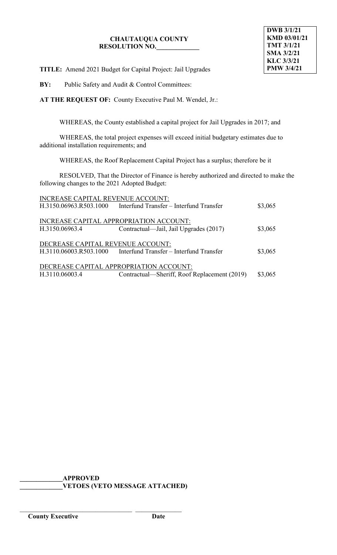**TITLE:** Amend 2021 Budget for Capital Project: Jail Upgrades

**BY:** Public Safety and Audit & Control Committees:

**AT THE REQUEST OF:** County Executive Paul M. Wendel, Jr.:

WHEREAS, the County established a capital project for Jail Upgrades in 2017; and

WHEREAS, the total project expenses will exceed initial budgetary estimates due to additional installation requirements; and

WHEREAS, the Roof Replacement Capital Project has a surplus; therefore be it

RESOLVED, That the Director of Finance is hereby authorized and directed to make the following changes to the 2021 Adopted Budget:

| INCREASE CAPITAL REVENUE ACCOUNT:       |                                              |         |  |
|-----------------------------------------|----------------------------------------------|---------|--|
| H.3150.06963.R503.1000                  | Interfund Transfer - Interfund Transfer      | \$3,065 |  |
|                                         |                                              |         |  |
| INCREASE CAPITAL APPROPRIATION ACCOUNT: |                                              |         |  |
| H.3150.06963.4                          | Contractual—Jail, Jail Upgrades (2017)       | \$3,065 |  |
|                                         |                                              |         |  |
| DECREASE CAPITAL REVENUE ACCOUNT:       |                                              |         |  |
| H.3110.06003.R503.1000                  | Interfund Transfer – Interfund Transfer      | \$3,065 |  |
|                                         |                                              |         |  |
| DECREASE CAPITAL APPROPRIATION ACCOUNT: |                                              |         |  |
| H.3110.06003.4                          | Contractual—Sheriff, Roof Replacement (2019) | \$3,065 |  |
|                                         |                                              |         |  |

**\_\_\_\_\_\_\_\_\_\_\_\_\_APPROVED \_\_\_\_\_\_\_\_\_\_\_\_\_VETOES (VETO MESSAGE ATTACHED)**

\_\_\_\_\_\_\_\_\_\_\_\_\_\_\_\_\_\_\_\_\_\_\_\_\_\_\_\_\_\_\_\_\_\_ \_\_\_\_\_\_\_\_\_\_\_\_\_\_